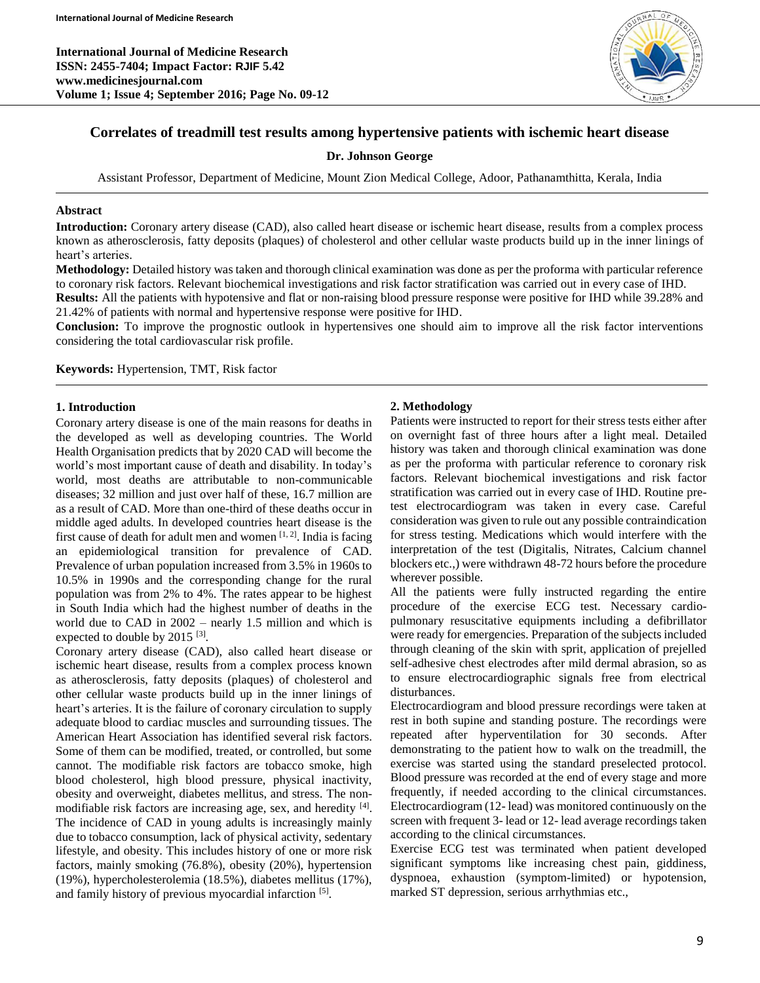**International Journal of Medicine Research ISSN: 2455-7404; Impact Factor: RJIF 5.42 www.medicinesjournal.com Volume 1; Issue 4; September 2016; Page No. 09-12**



# **Correlates of treadmill test results among hypertensive patients with ischemic heart disease**

**Dr. Johnson George**

Assistant Professor, Department of Medicine, Mount Zion Medical College, Adoor, Pathanamthitta, Kerala, India

### **Abstract**

**Introduction:** Coronary artery disease (CAD), also called heart disease or ischemic heart disease, results from a complex process known as atherosclerosis, fatty deposits (plaques) of cholesterol and other cellular waste products build up in the inner linings of heart's arteries.

**Methodology:** Detailed history was taken and thorough clinical examination was done as per the proforma with particular reference to coronary risk factors. Relevant biochemical investigations and risk factor stratification was carried out in every case of IHD.

**Results:** All the patients with hypotensive and flat or non-raising blood pressure response were positive for IHD while 39.28% and 21.42% of patients with normal and hypertensive response were positive for IHD.

**Conclusion:** To improve the prognostic outlook in hypertensives one should aim to improve all the risk factor interventions considering the total cardiovascular risk profile.

**Keywords:** Hypertension, TMT, Risk factor

### **1. Introduction**

Coronary artery disease is one of the main reasons for deaths in the developed as well as developing countries. The World Health Organisation predicts that by 2020 CAD will become the world's most important cause of death and disability. In today's world, most deaths are attributable to non-communicable diseases; 32 million and just over half of these, 16.7 million are as a result of CAD. More than one-third of these deaths occur in middle aged adults. In developed countries heart disease is the first cause of death for adult men and women  $[1, 2]$ . India is facing an epidemiological transition for prevalence of CAD. Prevalence of urban population increased from 3.5% in 1960s to 10.5% in 1990s and the corresponding change for the rural population was from 2% to 4%. The rates appear to be highest in South India which had the highest number of deaths in the world due to CAD in 2002 – nearly 1.5 million and which is expected to double by  $2015$ <sup>[3]</sup>.

Coronary artery disease (CAD), also called heart disease or ischemic heart disease, results from a complex process known as atherosclerosis, fatty deposits (plaques) of cholesterol and other cellular waste products build up in the inner linings of heart's arteries. It is the failure of coronary circulation to supply adequate blood to cardiac muscles and surrounding tissues. The American Heart Association has identified several risk factors. Some of them can be modified, treated, or controlled, but some cannot. The modifiable risk factors are tobacco smoke, high blood cholesterol, high blood pressure, physical inactivity, obesity and overweight, diabetes mellitus, and stress. The nonmodifiable risk factors are increasing age, sex, and heredity [4]. The incidence of CAD in young adults is increasingly mainly due to tobacco consumption, lack of physical activity, sedentary lifestyle, and obesity. This includes history of one or more risk factors, mainly smoking (76.8%), obesity (20%), hypertension (19%), hypercholesterolemia (18.5%), diabetes mellitus (17%), and family history of previous myocardial infarction [5].

# **2. Methodology**

Patients were instructed to report for their stress tests either after on overnight fast of three hours after a light meal. Detailed history was taken and thorough clinical examination was done as per the proforma with particular reference to coronary risk factors. Relevant biochemical investigations and risk factor stratification was carried out in every case of IHD. Routine pretest electrocardiogram was taken in every case. Careful consideration was given to rule out any possible contraindication for stress testing. Medications which would interfere with the interpretation of the test (Digitalis, Nitrates, Calcium channel blockers etc.,) were withdrawn 48-72 hours before the procedure wherever possible.

All the patients were fully instructed regarding the entire procedure of the exercise ECG test. Necessary cardiopulmonary resuscitative equipments including a defibrillator were ready for emergencies. Preparation of the subjects included through cleaning of the skin with sprit, application of prejelled self-adhesive chest electrodes after mild dermal abrasion, so as to ensure electrocardiographic signals free from electrical disturbances.

Electrocardiogram and blood pressure recordings were taken at rest in both supine and standing posture. The recordings were repeated after hyperventilation for 30 seconds. After demonstrating to the patient how to walk on the treadmill, the exercise was started using the standard preselected protocol. Blood pressure was recorded at the end of every stage and more frequently, if needed according to the clinical circumstances. Electrocardiogram (12- lead) was monitored continuously on the screen with frequent 3- lead or 12- lead average recordings taken according to the clinical circumstances.

Exercise ECG test was terminated when patient developed significant symptoms like increasing chest pain, giddiness, dyspnoea, exhaustion (symptom-limited) or hypotension, marked ST depression, serious arrhythmias etc.,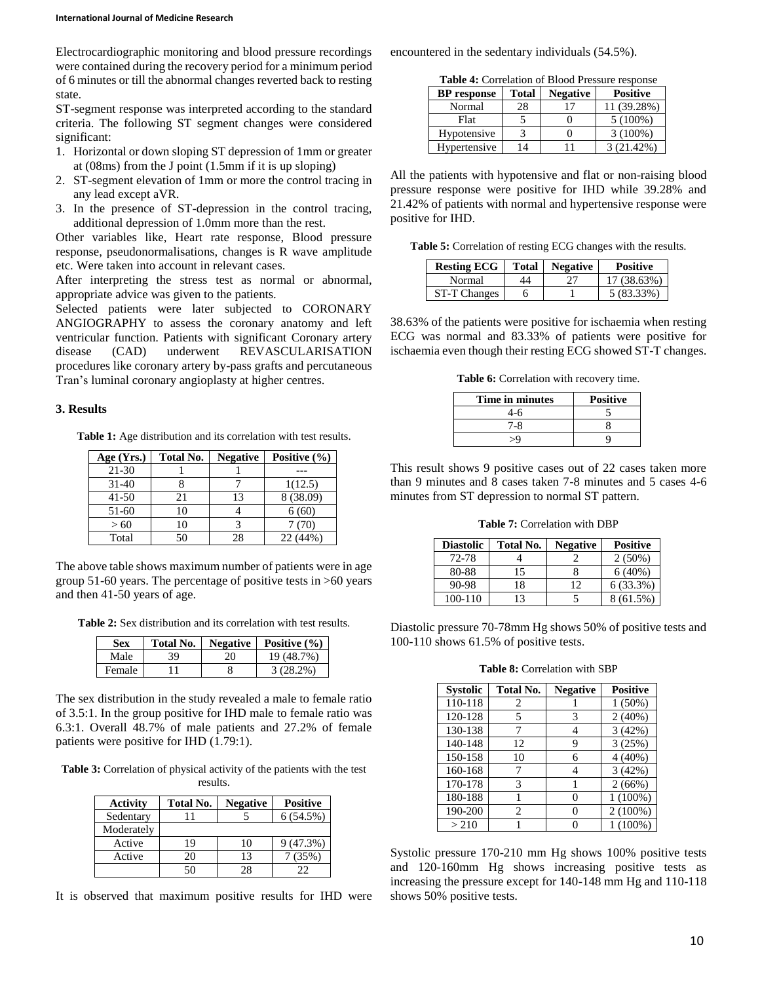Electrocardiographic monitoring and blood pressure recordings were contained during the recovery period for a minimum period of 6 minutes or till the abnormal changes reverted back to resting state.

ST-segment response was interpreted according to the standard criteria. The following ST segment changes were considered significant:

- 1. Horizontal or down sloping ST depression of 1mm or greater at (08ms) from the J point (1.5mm if it is up sloping)
- 2. ST-segment elevation of 1mm or more the control tracing in any lead except aVR.
- 3. In the presence of ST-depression in the control tracing, additional depression of 1.0mm more than the rest.

Other variables like, Heart rate response, Blood pressure response, pseudonormalisations, changes is R wave amplitude etc. Were taken into account in relevant cases.

After interpreting the stress test as normal or abnormal, appropriate advice was given to the patients.

Selected patients were later subjected to CORONARY ANGIOGRAPHY to assess the coronary anatomy and left ventricular function. Patients with significant Coronary artery disease (CAD) underwent REVASCULARISATION procedures like coronary artery by-pass grafts and percutaneous Tran's luminal coronary angioplasty at higher centres.

## **3. Results**

**Table 1:** Age distribution and its correlation with test results.

| Age (Yrs.) | Total No. | <b>Negative</b> | Positive (%) |
|------------|-----------|-----------------|--------------|
| $21 - 30$  |           |                 |              |
| $31-40$    |           |                 | 1(12.5)      |
| $41 - 50$  | 21        | 13              | 8 (38.09)    |
| 51-60      | 10        |                 | 6(60)        |
| > 60       | 10        |                 | 7 (70)       |
| Total      | 50        | 28              | 22 (44%)     |

The above table shows maximum number of patients were in age group 51-60 years. The percentage of positive tests in >60 years and then 41-50 years of age.

**Table 2:** Sex distribution and its correlation with test results.

| Sex    | Total No. |    | Negative   Positive $(\% )$ |
|--------|-----------|----|-----------------------------|
| Male   | 39        | 20 | 19 (48.7%)                  |
| Female |           |    | $3(28.2\%)$                 |

The sex distribution in the study revealed a male to female ratio of 3.5:1. In the group positive for IHD male to female ratio was 6.3:1. Overall 48.7% of male patients and 27.2% of female patients were positive for IHD (1.79:1).

**Table 3:** Correlation of physical activity of the patients with the test results.

| <b>Activity</b> | <b>Total No.</b> | <b>Negative</b> | <b>Positive</b> |
|-----------------|------------------|-----------------|-----------------|
| Sedentary       |                  |                 | 6(54.5%)        |
| Moderately      |                  |                 |                 |
| Active          | 19               | 10              | 9(47.3%)        |
| Active          | 20               | 13              | 7(35%)          |
|                 |                  |                 | フフ              |

It is observed that maximum positive results for IHD were

encountered in the sedentary individuals (54.5%).

**Table 4:** Correlation of Blood Pressure response

| <b>BP</b> response | <b>Total</b> | <b>Negative</b> | <b>Positive</b> |
|--------------------|--------------|-----------------|-----------------|
| Normal             | 28           | 17              | 11 (39.28%)     |
| Flat               |              |                 | $5(100\%)$      |
| Hypotensive        |              |                 | $3(100\%)$      |
| Hypertensive       | 14           |                 | 3(21.42%)       |

All the patients with hypotensive and flat or non-raising blood pressure response were positive for IHD while 39.28% and 21.42% of patients with normal and hypertensive response were positive for IHD.

**Table 5:** Correlation of resting ECG changes with the results.

| <b>Resting ECG</b>  | Total | <b>Negative</b> | <b>Positive</b> |
|---------------------|-------|-----------------|-----------------|
| Normal              | 44    |                 | 17 (38.63%)     |
| <b>ST-T Changes</b> |       |                 | 5 (83.33%)      |

38.63% of the patients were positive for ischaemia when resting ECG was normal and 83.33% of patients were positive for ischaemia even though their resting ECG showed ST-T changes.

**Table 6:** Correlation with recovery time.

| Time in minutes | <b>Positive</b> |
|-----------------|-----------------|
| 4-6             |                 |
| 7-8             |                 |
| $\mathcal{S}$   |                 |

This result shows 9 positive cases out of 22 cases taken more than 9 minutes and 8 cases taken 7-8 minutes and 5 cases 4-6 minutes from ST depression to normal ST pattern.

**Table 7:** Correlation with DBP

| <b>Diastolic</b> | Total No. | <b>Negative</b> | <b>Positive</b> |
|------------------|-----------|-----------------|-----------------|
| 72-78            |           |                 | $2(50\%)$       |
| 80-88            | 15        |                 | 6(40%)          |
| 90-98            | 18        | 12              | $6(33.3\%)$     |
| 100-110          | 13        |                 | 8 (61.5%)       |

Diastolic pressure 70-78mm Hg shows 50% of positive tests and 100-110 shows 61.5% of positive tests.

**Table 8:** Correlation with SBP

| <b>Systolic</b> | <b>Total No.</b> | <b>Negative</b> | <b>Positive</b> |
|-----------------|------------------|-----------------|-----------------|
| 110-118         | 2                |                 | $1(50\%)$       |
| 120-128         | 5                | 3               | 2(40%)          |
| 130-138         |                  | 4               | 3(42%)          |
| 140-148         | 12               | 9               | 3(25%)          |
| 150-158         | 10               | 6               | $4(40\%)$       |
| 160-168         |                  | 4               | 3(42%)          |
| 170-178         | 3                |                 | 2(66%)          |
| 180-188         |                  |                 | $1(100\%)$      |
| 190-200         | 2                |                 | $2(100\%)$      |
| >210            |                  |                 | $(100\%)$       |

Systolic pressure 170-210 mm Hg shows 100% positive tests and 120-160mm Hg shows increasing positive tests as increasing the pressure except for 140-148 mm Hg and 110-118 shows 50% positive tests.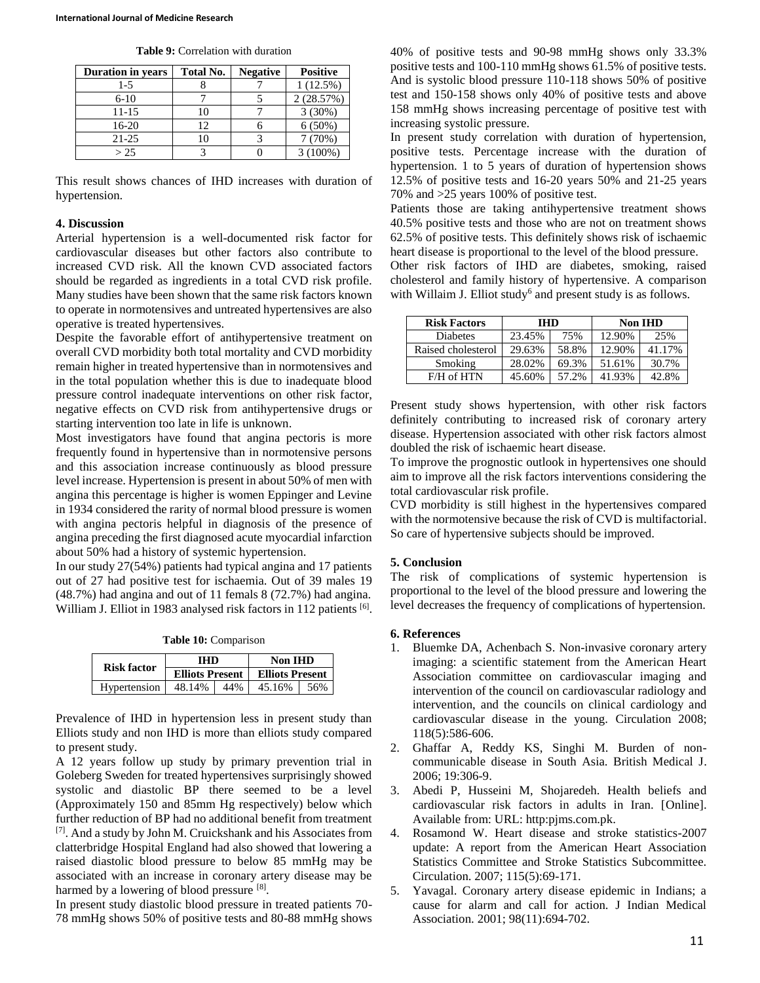| <b>Duration in years</b> | Total No. | <b>Negative</b> | <b>Positive</b> |
|--------------------------|-----------|-----------------|-----------------|
| $1-5$                    |           |                 | 1(12.5%)        |
| $6-10$                   |           |                 | 2(28.57%)       |
| 11-15                    | 10        |                 | 3(30%)          |
| 16-20                    | 12        |                 | $6(50\%)$       |
| $21 - 25$                |           |                 | 7(70%)          |
| > 25                     |           |                 | $(100\%)$       |

This result shows chances of IHD increases with duration of hypertension.

### **4. Discussion**

Arterial hypertension is a well-documented risk factor for cardiovascular diseases but other factors also contribute to increased CVD risk. All the known CVD associated factors should be regarded as ingredients in a total CVD risk profile. Many studies have been shown that the same risk factors known to operate in normotensives and untreated hypertensives are also operative is treated hypertensives.

Despite the favorable effort of antihypertensive treatment on overall CVD morbidity both total mortality and CVD morbidity remain higher in treated hypertensive than in normotensives and in the total population whether this is due to inadequate blood pressure control inadequate interventions on other risk factor, negative effects on CVD risk from antihypertensive drugs or starting intervention too late in life is unknown.

Most investigators have found that angina pectoris is more frequently found in hypertensive than in normotensive persons and this association increase continuously as blood pressure level increase. Hypertension is present in about 50% of men with angina this percentage is higher is women Eppinger and Levine in 1934 considered the rarity of normal blood pressure is women with angina pectoris helpful in diagnosis of the presence of angina preceding the first diagnosed acute myocardial infarction about 50% had a history of systemic hypertension.

In our study 27(54%) patients had typical angina and 17 patients out of 27 had positive test for ischaemia. Out of 39 males 19 (48.7%) had angina and out of 11 femals 8 (72.7%) had angina. William J. Elliot in 1983 analysed risk factors in 112 patients [6].

**Table 10:** Comparison

| <b>Risk factor</b> | <b>THD</b>             |     | Non IHD                |     |
|--------------------|------------------------|-----|------------------------|-----|
|                    | <b>Elliots Present</b> |     | <b>Elliots Present</b> |     |
| Hypertension       | 48.14%                 | 44% | 45.16%                 | 56% |

Prevalence of IHD in hypertension less in present study than Elliots study and non IHD is more than elliots study compared to present study.

A 12 years follow up study by primary prevention trial in Goleberg Sweden for treated hypertensives surprisingly showed systolic and diastolic BP there seemed to be a level (Approximately 150 and 85mm Hg respectively) below which further reduction of BP had no additional benefit from treatment [7]. And a study by John M. Cruickshank and his Associates from clatterbridge Hospital England had also showed that lowering a raised diastolic blood pressure to below 85 mmHg may be associated with an increase in coronary artery disease may be harmed by a lowering of blood pressure [8].

In present study diastolic blood pressure in treated patients 70- 78 mmHg shows 50% of positive tests and 80-88 mmHg shows 40% of positive tests and 90-98 mmHg shows only 33.3% positive tests and 100-110 mmHg shows 61.5% of positive tests. And is systolic blood pressure 110-118 shows 50% of positive test and 150-158 shows only 40% of positive tests and above 158 mmHg shows increasing percentage of positive test with increasing systolic pressure.

In present study correlation with duration of hypertension, positive tests. Percentage increase with the duration of hypertension. 1 to 5 years of duration of hypertension shows 12.5% of positive tests and 16-20 years 50% and 21-25 years 70% and >25 years 100% of positive test.

Patients those are taking antihypertensive treatment shows 40.5% positive tests and those who are not on treatment shows 62.5% of positive tests. This definitely shows risk of ischaemic heart disease is proportional to the level of the blood pressure. Other risk factors of IHD are diabetes, smoking, raised cholesterol and family history of hypertensive. A comparison with Willaim J. Elliot study<sup>6</sup> and present study is as follows.

| <b>Risk Factors</b> | <b>IHD</b> |       |        | <b>Non IHD</b> |
|---------------------|------------|-------|--------|----------------|
| Diabetes            | 23.45%     | 75%   | 12.90% | 25%            |
| Raised cholesterol  | 29.63%     | 58.8% | 12.90% | 41.17%         |
| Smoking             | 28.02%     | 69.3% | 51.61% | 30.7%          |
| F/H of HTN          | 45.60%     | 57.2% | 41.93% | 42.8%          |

Present study shows hypertension, with other risk factors definitely contributing to increased risk of coronary artery disease. Hypertension associated with other risk factors almost doubled the risk of ischaemic heart disease.

To improve the prognostic outlook in hypertensives one should aim to improve all the risk factors interventions considering the total cardiovascular risk profile.

CVD morbidity is still highest in the hypertensives compared with the normotensive because the risk of CVD is multifactorial. So care of hypertensive subjects should be improved.

#### **5. Conclusion**

The risk of complications of systemic hypertension is proportional to the level of the blood pressure and lowering the level decreases the frequency of complications of hypertension.

#### **6. References**

- 1. Bluemke DA, Achenbach S. Non-invasive coronary artery imaging: a scientific statement from the American Heart Association committee on cardiovascular imaging and intervention of the council on cardiovascular radiology and intervention, and the councils on clinical cardiology and cardiovascular disease in the young. Circulation 2008; 118(5):586-606.
- 2. Ghaffar A, Reddy KS, Singhi M. Burden of noncommunicable disease in South Asia. British Medical J. 2006; 19:306-9.
- 3. Abedi P, Husseini M, Shojaredeh. Health beliefs and cardiovascular risk factors in adults in Iran. [Online]. Available from: URL: http:pjms.com.pk.
- 4. Rosamond W. Heart disease and stroke statistics-2007 update: A report from the American Heart Association Statistics Committee and Stroke Statistics Subcommittee. Circulation. 2007; 115(5):69-171.
- 5. Yavagal. Coronary artery disease epidemic in Indians; a cause for alarm and call for action. J Indian Medical Association. 2001; 98(11):694-702.